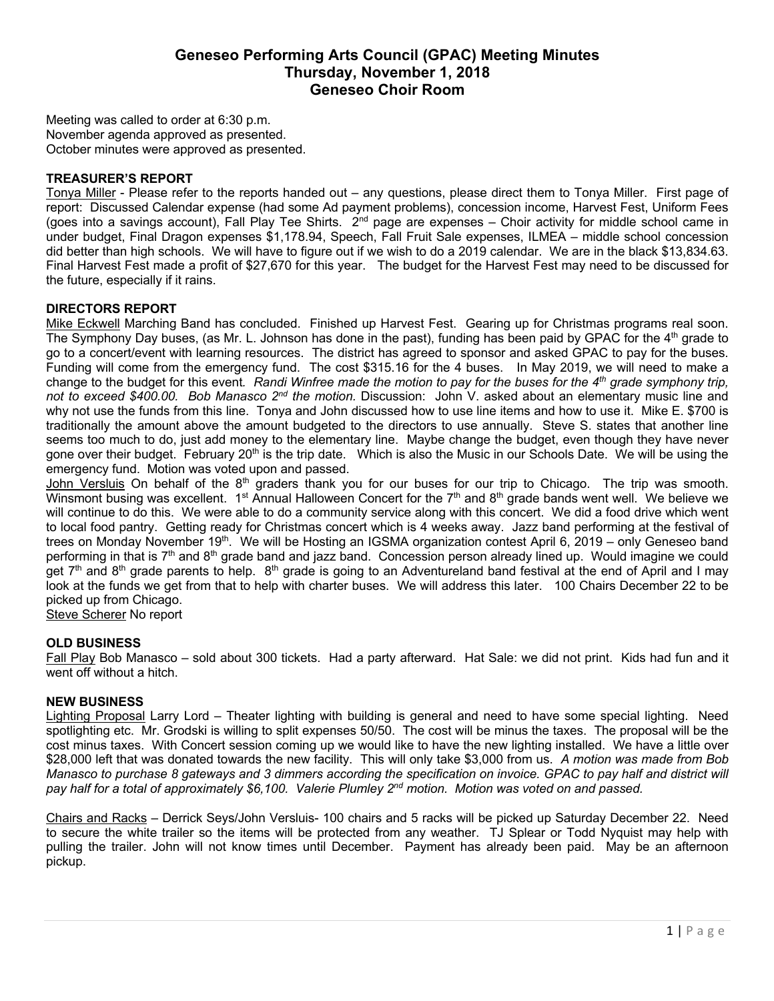# **Geneseo Performing Arts Council (GPAC) Meeting Minutes Thursday, November 1, 2018 Geneseo Choir Room**

Meeting was called to order at 6:30 p.m. November agenda approved as presented. October minutes were approved as presented.

## **TREASURER'S REPORT**

Tonya Miller - Please refer to the reports handed out – any questions, please direct them to Tonya Miller. First page of report: Discussed Calendar expense (had some Ad payment problems), concession income, Harvest Fest, Uniform Fees (goes into a savings account), Fall Play Tee Shirts.  $2^{nd}$  page are expenses – Choir activity for middle school came in under budget, Final Dragon expenses \$1,178.94, Speech, Fall Fruit Sale expenses, ILMEA – middle school concession did better than high schools. We will have to figure out if we wish to do a 2019 calendar. We are in the black \$13,834.63. Final Harvest Fest made a profit of \$27,670 for this year. The budget for the Harvest Fest may need to be discussed for the future, especially if it rains.

## **DIRECTORS REPORT**

Mike Eckwell Marching Band has concluded. Finished up Harvest Fest. Gearing up for Christmas programs real soon. The Symphony Day buses, (as Mr. L. Johnson has done in the past), funding has been paid by GPAC for the 4<sup>th</sup> grade to go to a concert/event with learning resources. The district has agreed to sponsor and asked GPAC to pay for the buses. Funding will come from the emergency fund. The cost \$315.16 for the 4 buses. In May 2019, we will need to make a change to the budget for this event*. Randi Winfree made the motion to pay for the buses for the 4th grade symphony trip, not to exceed \$400.00. Bob Manasco 2nd the motion.* Discussion: John V. asked about an elementary music line and why not use the funds from this line. Tonya and John discussed how to use line items and how to use it. Mike E. \$700 is traditionally the amount above the amount budgeted to the directors to use annually. Steve S. states that another line seems too much to do, just add money to the elementary line. Maybe change the budget, even though they have never gone over their budget. February 20<sup>th</sup> is the trip date. Which is also the Music in our Schools Date. We will be using the emergency fund. Motion was voted upon and passed.

John Versluis On behalf of the  $8<sup>th</sup>$  graders thank you for our buses for our trip to Chicago. The trip was smooth. Winsmont busing was excellent.  $1^{st}$  Annual Halloween Concert for the  $7<sup>th</sup>$  and  $8<sup>th</sup>$  grade bands went well. We believe we will continue to do this. We were able to do a community service along with this concert. We did a food drive which went to local food pantry. Getting ready for Christmas concert which is 4 weeks away. Jazz band performing at the festival of trees on Monday November 19<sup>th</sup>. We will be Hosting an IGSMA organization contest April 6, 2019 – only Geneseo band performing in that is  $7<sup>th</sup>$  and  $8<sup>th</sup>$  grade band and jazz band. Concession person already lined up. Would imagine we could get  $7<sup>th</sup>$  and  $8<sup>th</sup>$  grade parents to help.  $8<sup>th</sup>$  grade is going to an Adventureland band festival at the end of April and I may look at the funds we get from that to help with charter buses. We will address this later. 100 Chairs December 22 to be picked up from Chicago.

Steve Scherer No report

#### **OLD BUSINESS**

Fall Play Bob Manasco – sold about 300 tickets. Had a party afterward. Hat Sale: we did not print. Kids had fun and it went off without a hitch.

### **NEW BUSINESS**

Lighting Proposal Larry Lord – Theater lighting with building is general and need to have some special lighting. Need spotlighting etc. Mr. Grodski is willing to split expenses 50/50. The cost will be minus the taxes. The proposal will be the cost minus taxes. With Concert session coming up we would like to have the new lighting installed. We have a little over \$28,000 left that was donated towards the new facility. This will only take \$3,000 from us. *A motion was made from Bob Manasco to purchase 8 gateways and 3 dimmers according the specification on invoice. GPAC to pay half and district will pay half for a total of approximately \$6,100. Valerie Plumley 2nd motion. Motion was voted on and passed.*

Chairs and Racks – Derrick Seys/John Versluis- 100 chairs and 5 racks will be picked up Saturday December 22. Need to secure the white trailer so the items will be protected from any weather. TJ Splear or Todd Nyquist may help with pulling the trailer. John will not know times until December. Payment has already been paid. May be an afternoon pickup.